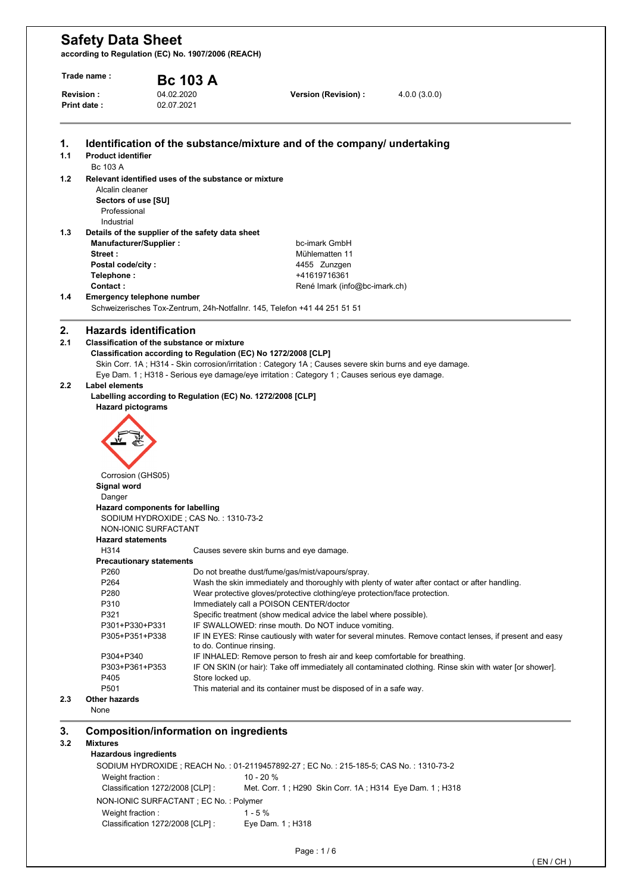**according to Regulation (EC) No. 1907/2006 (REACH)** 

|                  | Trade name:                            | <b>Bc 103 A</b>                                                           |                                                                                                           |                                                                                                          |  |  |
|------------------|----------------------------------------|---------------------------------------------------------------------------|-----------------------------------------------------------------------------------------------------------|----------------------------------------------------------------------------------------------------------|--|--|
| <b>Revision:</b> |                                        | 04.02.2020                                                                | Version (Revision) :                                                                                      | 4.0.0(3.0.0)                                                                                             |  |  |
|                  | <b>Print date:</b>                     | 02.07.2021                                                                |                                                                                                           |                                                                                                          |  |  |
|                  |                                        |                                                                           | Identification of the substance/mixture and of the company/ undertaking                                   |                                                                                                          |  |  |
| 1.1              | <b>Product identifier</b>              |                                                                           |                                                                                                           |                                                                                                          |  |  |
|                  | Bc 103 A                               |                                                                           |                                                                                                           |                                                                                                          |  |  |
| 1.2              | Alcalin cleaner<br>Sectors of use [SU] | Relevant identified uses of the substance or mixture                      |                                                                                                           |                                                                                                          |  |  |
|                  | Professional<br>Industrial             |                                                                           |                                                                                                           |                                                                                                          |  |  |
|                  |                                        | Details of the supplier of the safety data sheet                          |                                                                                                           |                                                                                                          |  |  |
|                  | Manufacturer/Supplier:                 |                                                                           | bc-imark GmbH                                                                                             |                                                                                                          |  |  |
|                  | Street:                                |                                                                           | Mühlematten 11                                                                                            |                                                                                                          |  |  |
|                  | Postal code/city:                      |                                                                           | 4455 Zunzgen                                                                                              |                                                                                                          |  |  |
|                  | Telephone:                             |                                                                           | +41619716361                                                                                              |                                                                                                          |  |  |
|                  | Contact:                               |                                                                           | René Imark (info@bc-imark.ch)                                                                             |                                                                                                          |  |  |
| 1.4              | <b>Emergency telephone number</b>      |                                                                           |                                                                                                           |                                                                                                          |  |  |
|                  |                                        | Schweizerisches Tox-Zentrum, 24h-Notfallnr. 145, Telefon +41 44 251 51 51 |                                                                                                           |                                                                                                          |  |  |
|                  | <b>Hazards identification</b>          |                                                                           |                                                                                                           |                                                                                                          |  |  |
| 2.1              |                                        | <b>Classification of the substance or mixture</b>                         |                                                                                                           |                                                                                                          |  |  |
|                  |                                        | Classification according to Regulation (EC) No 1272/2008 [CLP]            | Skin Corr. 1A ; H314 - Skin corrosion/irritation : Category 1A ; Causes severe skin burns and eye damage. |                                                                                                          |  |  |
|                  |                                        |                                                                           | Eye Dam. 1; H318 - Serious eye damage/eye irritation : Category 1; Causes serious eye damage.             |                                                                                                          |  |  |
|                  |                                        |                                                                           |                                                                                                           |                                                                                                          |  |  |
| 2.2              | <b>Label elements</b>                  |                                                                           |                                                                                                           |                                                                                                          |  |  |
|                  |                                        |                                                                           |                                                                                                           |                                                                                                          |  |  |
|                  |                                        | Labelling according to Regulation (EC) No. 1272/2008 [CLP]                |                                                                                                           |                                                                                                          |  |  |
|                  | <b>Hazard pictograms</b>               |                                                                           |                                                                                                           |                                                                                                          |  |  |
|                  |                                        |                                                                           |                                                                                                           |                                                                                                          |  |  |
|                  |                                        |                                                                           |                                                                                                           |                                                                                                          |  |  |
|                  |                                        |                                                                           |                                                                                                           |                                                                                                          |  |  |
|                  |                                        |                                                                           |                                                                                                           |                                                                                                          |  |  |
|                  |                                        |                                                                           |                                                                                                           |                                                                                                          |  |  |
|                  | Corrosion (GHS05)                      |                                                                           |                                                                                                           |                                                                                                          |  |  |
|                  | Signal word                            |                                                                           |                                                                                                           |                                                                                                          |  |  |
|                  | Danger                                 |                                                                           |                                                                                                           |                                                                                                          |  |  |
|                  |                                        | Hazard components for labelling                                           |                                                                                                           |                                                                                                          |  |  |
|                  |                                        | SODIUM HYDROXIDE; CAS No.: 1310-73-2                                      |                                                                                                           |                                                                                                          |  |  |
|                  | NON-IONIC SURFACTANT                   |                                                                           |                                                                                                           |                                                                                                          |  |  |
|                  | <b>Hazard statements</b>               |                                                                           |                                                                                                           |                                                                                                          |  |  |
|                  | H314                                   |                                                                           | Causes severe skin burns and eye damage.                                                                  |                                                                                                          |  |  |
|                  | <b>Precautionary statements</b>        |                                                                           |                                                                                                           |                                                                                                          |  |  |
|                  | P <sub>260</sub>                       |                                                                           | Do not breathe dust/fume/gas/mist/vapours/spray.                                                          |                                                                                                          |  |  |
|                  | P <sub>264</sub>                       |                                                                           |                                                                                                           | Wash the skin immediately and thoroughly with plenty of water after contact or after handling.           |  |  |
|                  | P280                                   |                                                                           | Wear protective gloves/protective clothing/eye protection/face protection.                                |                                                                                                          |  |  |
|                  | P310                                   |                                                                           | Immediately call a POISON CENTER/doctor                                                                   |                                                                                                          |  |  |
|                  | P321                                   |                                                                           | Specific treatment (show medical advice the label where possible).                                        |                                                                                                          |  |  |
|                  | P301+P330+P331<br>P305+P351+P338       |                                                                           | IF SWALLOWED: rinse mouth. Do NOT induce vomiting.                                                        |                                                                                                          |  |  |
|                  |                                        | to do. Continue rinsing.                                                  |                                                                                                           |                                                                                                          |  |  |
|                  | P304+P340                              |                                                                           | IF INHALED: Remove person to fresh air and keep comfortable for breathing.                                |                                                                                                          |  |  |
|                  | P303+P361+P353<br>P405                 | Store locked up.                                                          |                                                                                                           | IF ON SKIN (or hair): Take off immediately all contaminated clothing. Rinse skin with water [or shower]. |  |  |
|                  | P501                                   |                                                                           | This material and its container must be disposed of in a safe way.                                        |                                                                                                          |  |  |
| 2.3              | <b>Other hazards</b><br>None           |                                                                           |                                                                                                           | IF IN EYES: Rinse cautiously with water for several minutes. Remove contact lenses, if present and easy  |  |  |

SODIUM HYDROXIDE ; REACH No. : 01-2119457892-27 ; EC No. : 215-185-5; CAS No. : 1310-73-2 Weight fraction : 10 - 20 % Classification 1272/2008 [CLP] : Met. Corr. 1 ; H290 Skin Corr. 1A ; H314 Eye Dam. 1 ; H318 NON-IONIC SURFACTANT ; EC No. : Polymer Weight fraction : 1 - 5 % Classification 1272/2008 [CLP] : Eye Dam. 1 ; H318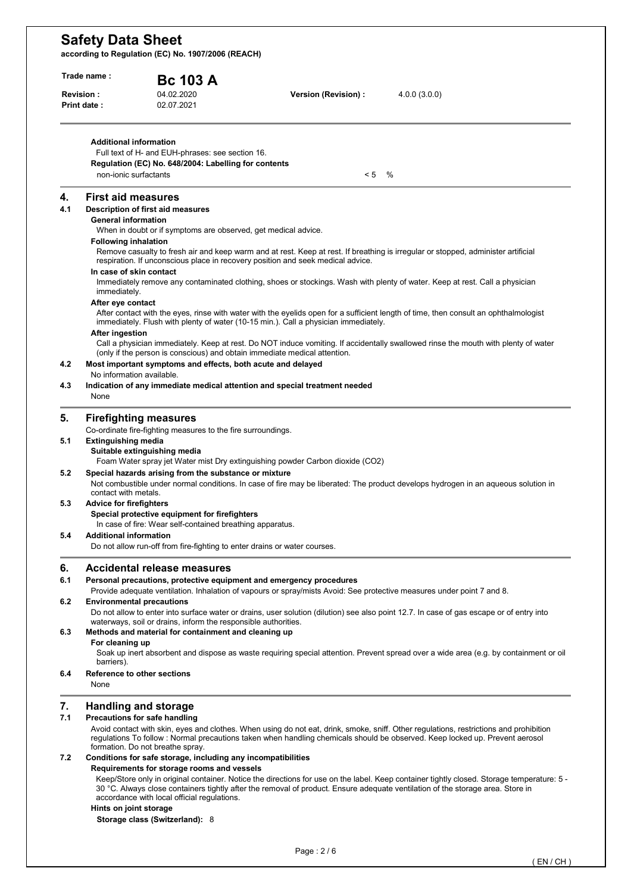**according to Regulation (EC) No. 1907/2006 (REACH)** 

| Trade name :       |                                | <b>Bc 103 A</b>                                                                                            |                                                                                                                                            |
|--------------------|--------------------------------|------------------------------------------------------------------------------------------------------------|--------------------------------------------------------------------------------------------------------------------------------------------|
| <b>Revision:</b>   |                                | 04.02.2020                                                                                                 | Version (Revision) :<br>4.0.0(3.0.0)                                                                                                       |
| <b>Print date:</b> |                                | 02.07.2021                                                                                                 |                                                                                                                                            |
|                    | <b>Additional information</b>  | Full text of H- and EUH-phrases: see section 16.<br>Regulation (EC) No. 648/2004: Labelling for contents   |                                                                                                                                            |
|                    | non-ionic surfactants          |                                                                                                            | < 5<br>$\%$                                                                                                                                |
| 4.                 | <b>First aid measures</b>      |                                                                                                            |                                                                                                                                            |
| 4.1                |                                | Description of first aid measures                                                                          |                                                                                                                                            |
|                    | <b>General information</b>     |                                                                                                            |                                                                                                                                            |
|                    |                                | When in doubt or if symptoms are observed, get medical advice.                                             |                                                                                                                                            |
|                    | <b>Following inhalation</b>    |                                                                                                            | Remove casualty to fresh air and keep warm and at rest. Keep at rest. If breathing is irregular or stopped, administer artificial          |
|                    | In case of skin contact        |                                                                                                            | respiration. If unconscious place in recovery position and seek medical advice.                                                            |
|                    | immediately.                   |                                                                                                            | Immediately remove any contaminated clothing, shoes or stockings. Wash with plenty of water. Keep at rest. Call a physician                |
|                    | After eye contact              |                                                                                                            | After contact with the eyes, rinse with water with the eyelids open for a sufficient length of time, then consult an ophthalmologist       |
|                    |                                |                                                                                                            | immediately. Flush with plenty of water (10-15 min.). Call a physician immediately.                                                        |
|                    | <b>After ingestion</b>         |                                                                                                            |                                                                                                                                            |
|                    |                                |                                                                                                            | Call a physician immediately. Keep at rest. Do NOT induce vomiting. If accidentally swallowed rinse the mouth with plenty of water         |
|                    |                                | (only if the person is conscious) and obtain immediate medical attention.                                  |                                                                                                                                            |
| 4.2                | No information available.      | Most important symptoms and effects, both acute and delayed                                                |                                                                                                                                            |
| 4.3                |                                |                                                                                                            | Indication of any immediate medical attention and special treatment needed                                                                 |
|                    | None                           |                                                                                                            |                                                                                                                                            |
|                    |                                | <b>Firefighting measures</b>                                                                               |                                                                                                                                            |
|                    |                                | Co-ordinate fire-fighting measures to the fire surroundings.                                               |                                                                                                                                            |
| 5.1                | <b>Extinguishing media</b>     |                                                                                                            |                                                                                                                                            |
|                    |                                | Suitable extinguishing media                                                                               |                                                                                                                                            |
|                    |                                |                                                                                                            | Foam Water spray jet Water mist Dry extinguishing powder Carbon dioxide (CO2)                                                              |
| 5.2                |                                | Special hazards arising from the substance or mixture                                                      |                                                                                                                                            |
|                    | contact with metals.           |                                                                                                            | Not combustible under normal conditions. In case of fire may be liberated: The product develops hydrogen in an aqueous solution in         |
| 5.3                | <b>Advice for firefighters</b> |                                                                                                            |                                                                                                                                            |
|                    |                                | Special protective equipment for firefighters                                                              |                                                                                                                                            |
|                    |                                | In case of fire: Wear self-contained breathing apparatus.                                                  |                                                                                                                                            |
| 5.4                | <b>Additional information</b>  |                                                                                                            |                                                                                                                                            |
|                    |                                | Do not allow run-off from fire-fighting to enter drains or water courses.                                  |                                                                                                                                            |
| 6.                 |                                | <b>Accidental release measures</b>                                                                         |                                                                                                                                            |
| 6.1                |                                | Personal precautions, protective equipment and emergency procedures                                        |                                                                                                                                            |
| 6.2                |                                | <b>Environmental precautions</b>                                                                           | Provide adequate ventilation. Inhalation of vapours or spray/mists Avoid: See protective measures under point 7 and 8.                     |
|                    |                                |                                                                                                            | Do not allow to enter into surface water or drains, user solution (dilution) see also point 12.7. In case of gas escape or of entry into   |
|                    |                                | waterways, soil or drains, inform the responsible authorities.                                             |                                                                                                                                            |
| 6.3                |                                | Methods and material for containment and cleaning up                                                       |                                                                                                                                            |
|                    | For cleaning up                |                                                                                                            |                                                                                                                                            |
|                    |                                |                                                                                                            | Soak up inert absorbent and dispose as waste requiring special attention. Prevent spread over a wide area (e.g. by containment or oil      |
| 6.4                | barriers).                     | Reference to other sections                                                                                |                                                                                                                                            |
|                    | None                           |                                                                                                            |                                                                                                                                            |
| 7.                 |                                | <b>Handling and storage</b>                                                                                |                                                                                                                                            |
| 7.1                |                                | Precautions for safe handling                                                                              |                                                                                                                                            |
|                    |                                |                                                                                                            | Avoid contact with skin, eyes and clothes. When using do not eat, drink, smoke, sniff. Other regulations, restrictions and prohibition     |
|                    |                                |                                                                                                            | regulations To follow: Normal precautions taken when handling chemicals should be observed. Keep locked up. Prevent aerosol                |
|                    |                                | formation. Do not breathe spray.                                                                           |                                                                                                                                            |
| 7.2                |                                | Conditions for safe storage, including any incompatibilities<br>Requirements for storage rooms and vessels |                                                                                                                                            |
|                    |                                |                                                                                                            | Keep/Store only in original container. Notice the directions for use on the label. Keep container tightly closed. Storage temperature: 5 - |
|                    |                                |                                                                                                            | 30 °C. Always close containers tightly after the removal of product. Ensure adequate ventilation of the storage area. Store in             |

**Storage class (Switzerland):** 8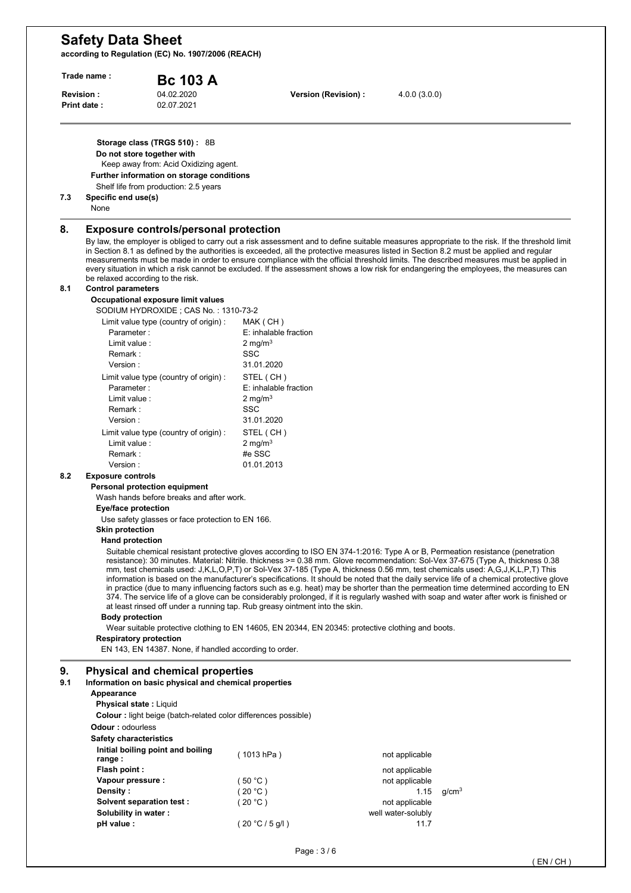**according to Regulation (EC) No. 1907/2006 (REACH)** 

| Trade name:<br>Revision:<br>Print date: |                                                                                                                                    | <b>Bc 103 A</b>                                                                                                                                                                            |                                                                             |                                  | 4.0.0(3.0.0)                                                                                                                                                                                                                                                                                                                                                                                                                                                                                                                                                                                                                                                                                |  |
|-----------------------------------------|------------------------------------------------------------------------------------------------------------------------------------|--------------------------------------------------------------------------------------------------------------------------------------------------------------------------------------------|-----------------------------------------------------------------------------|----------------------------------|---------------------------------------------------------------------------------------------------------------------------------------------------------------------------------------------------------------------------------------------------------------------------------------------------------------------------------------------------------------------------------------------------------------------------------------------------------------------------------------------------------------------------------------------------------------------------------------------------------------------------------------------------------------------------------------------|--|
|                                         |                                                                                                                                    | 04.02.2020<br>02.07.2021                                                                                                                                                                   | Version (Revision) :                                                        |                                  |                                                                                                                                                                                                                                                                                                                                                                                                                                                                                                                                                                                                                                                                                             |  |
|                                         |                                                                                                                                    | Storage class (TRGS 510) : 8B<br>Do not store together with<br>Keep away from: Acid Oxidizing agent.<br>Further information on storage conditions<br>Shelf life from production: 2.5 years |                                                                             |                                  |                                                                                                                                                                                                                                                                                                                                                                                                                                                                                                                                                                                                                                                                                             |  |
| 7.3                                     | Specific end use(s)<br>None                                                                                                        |                                                                                                                                                                                            |                                                                             |                                  |                                                                                                                                                                                                                                                                                                                                                                                                                                                                                                                                                                                                                                                                                             |  |
| 8.                                      |                                                                                                                                    | <b>Exposure controls/personal protection</b><br>be relaxed according to the risk.                                                                                                          |                                                                             |                                  | By law, the employer is obliged to carry out a risk assessment and to define suitable measures appropriate to the risk. If the threshold limit<br>in Section 8.1 as defined by the authorities is exceeded, all the protective measures listed in Section 8.2 must be applied and regular<br>measurements must be made in order to ensure compliance with the official threshold limits. The described measures must be applied in<br>every situation in which a risk cannot be excluded. If the assessment shows a low risk for endangering the employees, the measures can                                                                                                                |  |
| 8.1                                     | <b>Control parameters</b>                                                                                                          | Occupational exposure limit values                                                                                                                                                         |                                                                             |                                  |                                                                                                                                                                                                                                                                                                                                                                                                                                                                                                                                                                                                                                                                                             |  |
|                                         |                                                                                                                                    | SODIUM HYDROXIDE; CAS No.: 1310-73-2                                                                                                                                                       |                                                                             |                                  |                                                                                                                                                                                                                                                                                                                                                                                                                                                                                                                                                                                                                                                                                             |  |
|                                         | Parameter:                                                                                                                         | Limit value type (country of origin):                                                                                                                                                      | MAK (CH)<br>E: inhalable fraction                                           |                                  |                                                                                                                                                                                                                                                                                                                                                                                                                                                                                                                                                                                                                                                                                             |  |
|                                         | Limit value:                                                                                                                       |                                                                                                                                                                                            | 2 mg/m $3$                                                                  |                                  |                                                                                                                                                                                                                                                                                                                                                                                                                                                                                                                                                                                                                                                                                             |  |
|                                         | Remark:                                                                                                                            |                                                                                                                                                                                            | SSC                                                                         |                                  |                                                                                                                                                                                                                                                                                                                                                                                                                                                                                                                                                                                                                                                                                             |  |
|                                         | Version:                                                                                                                           | Limit value type (country of origin) :                                                                                                                                                     | 31.01.2020<br>STEL (CH)                                                     |                                  |                                                                                                                                                                                                                                                                                                                                                                                                                                                                                                                                                                                                                                                                                             |  |
|                                         | Parameter:                                                                                                                         |                                                                                                                                                                                            | E: inhalable fraction                                                       |                                  |                                                                                                                                                                                                                                                                                                                                                                                                                                                                                                                                                                                                                                                                                             |  |
|                                         | Limit value:                                                                                                                       |                                                                                                                                                                                            | 2 mg/m $3$<br>SSC                                                           |                                  |                                                                                                                                                                                                                                                                                                                                                                                                                                                                                                                                                                                                                                                                                             |  |
|                                         | Remark:<br>Version:                                                                                                                |                                                                                                                                                                                            | 31.01.2020                                                                  |                                  |                                                                                                                                                                                                                                                                                                                                                                                                                                                                                                                                                                                                                                                                                             |  |
|                                         |                                                                                                                                    | Limit value type (country of origin) :                                                                                                                                                     | STEL (CH)                                                                   |                                  |                                                                                                                                                                                                                                                                                                                                                                                                                                                                                                                                                                                                                                                                                             |  |
|                                         | Limit value:                                                                                                                       |                                                                                                                                                                                            | $2 \text{ mg/m}^3$                                                          |                                  |                                                                                                                                                                                                                                                                                                                                                                                                                                                                                                                                                                                                                                                                                             |  |
|                                         | Remark:<br>Version:                                                                                                                |                                                                                                                                                                                            | #e SSC<br>01.01.2013                                                        |                                  |                                                                                                                                                                                                                                                                                                                                                                                                                                                                                                                                                                                                                                                                                             |  |
| 8.2                                     | <b>Exposure controls</b>                                                                                                           |                                                                                                                                                                                            |                                                                             |                                  |                                                                                                                                                                                                                                                                                                                                                                                                                                                                                                                                                                                                                                                                                             |  |
|                                         |                                                                                                                                    | Personal protection equipment                                                                                                                                                              |                                                                             |                                  |                                                                                                                                                                                                                                                                                                                                                                                                                                                                                                                                                                                                                                                                                             |  |
|                                         | Eye/face protection                                                                                                                | Wash hands before breaks and after work.                                                                                                                                                   |                                                                             |                                  |                                                                                                                                                                                                                                                                                                                                                                                                                                                                                                                                                                                                                                                                                             |  |
|                                         |                                                                                                                                    | Use safety glasses or face protection to EN 166.                                                                                                                                           |                                                                             |                                  |                                                                                                                                                                                                                                                                                                                                                                                                                                                                                                                                                                                                                                                                                             |  |
|                                         | <b>Skin protection</b>                                                                                                             |                                                                                                                                                                                            |                                                                             |                                  |                                                                                                                                                                                                                                                                                                                                                                                                                                                                                                                                                                                                                                                                                             |  |
|                                         | <b>Hand protection</b>                                                                                                             |                                                                                                                                                                                            |                                                                             |                                  | Suitable chemical resistant protective gloves according to ISO EN 374-1:2016: Type A or B, Permeation resistance (penetration                                                                                                                                                                                                                                                                                                                                                                                                                                                                                                                                                               |  |
|                                         |                                                                                                                                    |                                                                                                                                                                                            | at least rinsed off under a running tap. Rub greasy ointment into the skin. |                                  | resistance): 30 minutes. Material: Nitrile. thickness >= 0.38 mm. Glove recommendation: Sol-Vex 37-675 (Type A, thickness 0.38<br>mm, test chemicals used: J,K,L,O,P,T) or Sol-Vex 37-185 (Type A, thickness 0.56 mm, test chemicals used: A,G,J,K,L,P,T) This<br>information is based on the manufacturer's specifications. It should be noted that the daily service life of a chemical protective glove<br>in practice (due to many influencing factors such as e.g. heat) may be shorter than the permeation time determined according to EN<br>374. The service life of a glove can be considerably prolonged, if it is regularly washed with soap and water after work is finished or |  |
|                                         | <b>Body protection</b>                                                                                                             |                                                                                                                                                                                            |                                                                             |                                  |                                                                                                                                                                                                                                                                                                                                                                                                                                                                                                                                                                                                                                                                                             |  |
|                                         | Wear suitable protective clothing to EN 14605, EN 20344, EN 20345: protective clothing and boots.<br><b>Respiratory protection</b> |                                                                                                                                                                                            |                                                                             |                                  |                                                                                                                                                                                                                                                                                                                                                                                                                                                                                                                                                                                                                                                                                             |  |
|                                         | EN 143, EN 14387. None, if handled according to order.                                                                             |                                                                                                                                                                                            |                                                                             |                                  |                                                                                                                                                                                                                                                                                                                                                                                                                                                                                                                                                                                                                                                                                             |  |
| 9.<br>9.1                               | Appearance<br><b>Physical state: Liquid</b>                                                                                        | <b>Physical and chemical properties</b><br>Information on basic physical and chemical properties                                                                                           |                                                                             |                                  |                                                                                                                                                                                                                                                                                                                                                                                                                                                                                                                                                                                                                                                                                             |  |
|                                         | <b>Odour: odourless</b>                                                                                                            | <b>Colour:</b> light beige (batch-related color differences possible)                                                                                                                      |                                                                             |                                  |                                                                                                                                                                                                                                                                                                                                                                                                                                                                                                                                                                                                                                                                                             |  |
|                                         | <b>Safety characteristics</b>                                                                                                      | Initial boiling point and boiling                                                                                                                                                          |                                                                             |                                  |                                                                                                                                                                                                                                                                                                                                                                                                                                                                                                                                                                                                                                                                                             |  |
|                                         | range:                                                                                                                             |                                                                                                                                                                                            | (1013 hPa)                                                                  | not applicable                   |                                                                                                                                                                                                                                                                                                                                                                                                                                                                                                                                                                                                                                                                                             |  |
|                                         | Flash point:                                                                                                                       |                                                                                                                                                                                            | (50 °C)                                                                     | not applicable<br>not applicable |                                                                                                                                                                                                                                                                                                                                                                                                                                                                                                                                                                                                                                                                                             |  |
|                                         |                                                                                                                                    |                                                                                                                                                                                            |                                                                             |                                  |                                                                                                                                                                                                                                                                                                                                                                                                                                                                                                                                                                                                                                                                                             |  |
|                                         | Vapour pressure :<br>Density:                                                                                                      |                                                                                                                                                                                            | (20 °C)                                                                     |                                  | 1.15<br>g/cm <sup>3</sup>                                                                                                                                                                                                                                                                                                                                                                                                                                                                                                                                                                                                                                                                   |  |
|                                         |                                                                                                                                    | Solvent separation test :                                                                                                                                                                  | (20 °C)                                                                     | not applicable                   |                                                                                                                                                                                                                                                                                                                                                                                                                                                                                                                                                                                                                                                                                             |  |
|                                         | Solubility in water:<br>pH value :                                                                                                 |                                                                                                                                                                                            | (20 °C / 5 g/l)                                                             | well water-solubly               | 11.7                                                                                                                                                                                                                                                                                                                                                                                                                                                                                                                                                                                                                                                                                        |  |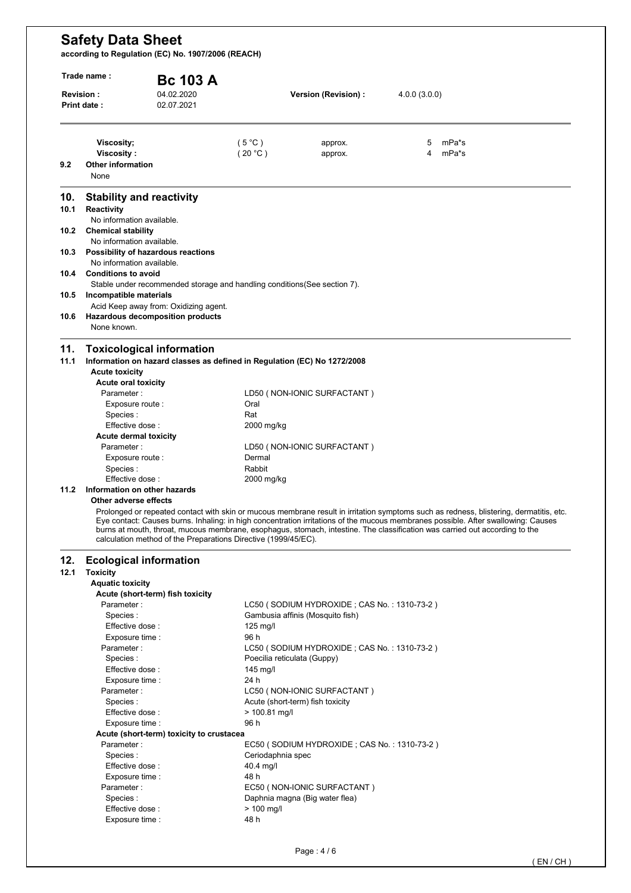**according to Regulation (EC) No. 1907/2006 (REACH)** 

| <b>Revision:</b> | Trade name:<br><b>Print date:</b>                                                             | <b>Bc 103 A</b><br>04.02.2020<br>02.07.2021                               |                             | Version (Revision) :                        | 4.0.0(3.0.0) |                                                                                                                                                                                                                                                                                                                                                                                                            |
|------------------|-----------------------------------------------------------------------------------------------|---------------------------------------------------------------------------|-----------------------------|---------------------------------------------|--------------|------------------------------------------------------------------------------------------------------------------------------------------------------------------------------------------------------------------------------------------------------------------------------------------------------------------------------------------------------------------------------------------------------------|
| 9.2              | Viscosity;<br>Viscosity:<br><b>Other information</b><br>None                                  |                                                                           | $(5^{\circ}C)$<br>(20 °C)   | approx.<br>approx.                          | 5<br>4       | mPa*s<br>mPa*s                                                                                                                                                                                                                                                                                                                                                                                             |
| 10.              | <b>Stability and reactivity</b>                                                               |                                                                           |                             |                                             |              |                                                                                                                                                                                                                                                                                                                                                                                                            |
| 10.1             | Reactivity<br>No information available.                                                       |                                                                           |                             |                                             |              |                                                                                                                                                                                                                                                                                                                                                                                                            |
| 10.2             | <b>Chemical stability</b><br>No information available.                                        |                                                                           |                             |                                             |              |                                                                                                                                                                                                                                                                                                                                                                                                            |
| 10.3<br>10.4     | Possibility of hazardous reactions<br>No information available.<br><b>Conditions to avoid</b> |                                                                           |                             |                                             |              |                                                                                                                                                                                                                                                                                                                                                                                                            |
|                  |                                                                                               | Stable under recommended storage and handling conditions (See section 7). |                             |                                             |              |                                                                                                                                                                                                                                                                                                                                                                                                            |
| 10.5             | Incompatible materials                                                                        | Acid Keep away from: Oxidizing agent.                                     |                             |                                             |              |                                                                                                                                                                                                                                                                                                                                                                                                            |
| 10.6             | Hazardous decomposition products<br>None known.                                               |                                                                           |                             |                                             |              |                                                                                                                                                                                                                                                                                                                                                                                                            |
| 11.<br>11.1      | <b>Toxicological information</b><br><b>Acute toxicity</b><br>Acute oral toxicity              | Information on hazard classes as defined in Regulation (EC) No 1272/2008  |                             |                                             |              |                                                                                                                                                                                                                                                                                                                                                                                                            |
|                  | Parameter:                                                                                    |                                                                           | Oral                        | LD50 (NON-IONIC SURFACTANT)                 |              |                                                                                                                                                                                                                                                                                                                                                                                                            |
|                  | Exposure route :<br>Species :                                                                 |                                                                           | Rat                         |                                             |              |                                                                                                                                                                                                                                                                                                                                                                                                            |
|                  | Effective dose :                                                                              |                                                                           | 2000 mg/kg                  |                                             |              |                                                                                                                                                                                                                                                                                                                                                                                                            |
|                  | <b>Acute dermal toxicity</b><br>Parameter:                                                    |                                                                           |                             | LD50 (NON-IONIC SURFACTANT)                 |              |                                                                                                                                                                                                                                                                                                                                                                                                            |
|                  | Exposure route :                                                                              |                                                                           | Dermal                      |                                             |              |                                                                                                                                                                                                                                                                                                                                                                                                            |
|                  | Species :                                                                                     |                                                                           | Rabbit                      |                                             |              |                                                                                                                                                                                                                                                                                                                                                                                                            |
| 11.2             | Effective dose:<br>Information on other hazards                                               |                                                                           | 2000 mg/kg                  |                                             |              |                                                                                                                                                                                                                                                                                                                                                                                                            |
|                  | Other adverse effects                                                                         | calculation method of the Preparations Directive (1999/45/EC).            |                             |                                             |              | Prolonged or repeated contact with skin or mucous membrane result in irritation symptoms such as redness, blistering, dermatitis, etc.<br>Eye contact: Causes burns. Inhaling: in high concentration irritations of the mucous membranes possible. After swallowing: Causes<br>burns at mouth, throat, mucous membrane, esophagus, stomach, intestine. The classification was carried out according to the |
| 12.              | <b>Ecological information</b>                                                                 |                                                                           |                             |                                             |              |                                                                                                                                                                                                                                                                                                                                                                                                            |
| 12.1             | <b>Toxicity</b><br><b>Aquatic toxicity</b>                                                    |                                                                           |                             |                                             |              |                                                                                                                                                                                                                                                                                                                                                                                                            |
|                  | Acute (short-term) fish toxicity                                                              |                                                                           |                             |                                             |              |                                                                                                                                                                                                                                                                                                                                                                                                            |
|                  | Parameter:<br>Species:                                                                        |                                                                           |                             | LC50 (SODIUM HYDROXIDE; CAS No.: 1310-73-2) |              |                                                                                                                                                                                                                                                                                                                                                                                                            |
|                  |                                                                                               |                                                                           |                             | Gambusia affinis (Mosquito fish)            |              |                                                                                                                                                                                                                                                                                                                                                                                                            |
|                  |                                                                                               |                                                                           |                             |                                             |              |                                                                                                                                                                                                                                                                                                                                                                                                            |
|                  | Effective dose:<br>Exposure time :                                                            |                                                                           | $125$ mg/l<br>96 h          |                                             |              |                                                                                                                                                                                                                                                                                                                                                                                                            |
|                  | Parameter:                                                                                    |                                                                           |                             | LC50 (SODIUM HYDROXIDE; CAS No.: 1310-73-2) |              |                                                                                                                                                                                                                                                                                                                                                                                                            |
|                  | Species:                                                                                      |                                                                           | Poecilia reticulata (Guppy) |                                             |              |                                                                                                                                                                                                                                                                                                                                                                                                            |
|                  | Effective dose :                                                                              |                                                                           | 145 mg/l                    |                                             |              |                                                                                                                                                                                                                                                                                                                                                                                                            |
|                  | Exposure time :<br>Parameter:                                                                 |                                                                           | 24 h                        | LC50 (NON-IONIC SURFACTANT)                 |              |                                                                                                                                                                                                                                                                                                                                                                                                            |
|                  | Species:                                                                                      |                                                                           |                             | Acute (short-term) fish toxicity            |              |                                                                                                                                                                                                                                                                                                                                                                                                            |
|                  | Effective dose:                                                                               |                                                                           | > 100.81 mg/l               |                                             |              |                                                                                                                                                                                                                                                                                                                                                                                                            |
|                  | Exposure time :                                                                               |                                                                           | 96 h                        |                                             |              |                                                                                                                                                                                                                                                                                                                                                                                                            |
|                  |                                                                                               | Acute (short-term) toxicity to crustacea                                  |                             |                                             |              |                                                                                                                                                                                                                                                                                                                                                                                                            |
|                  | Parameter:<br>Species:                                                                        |                                                                           | Ceriodaphnia spec           | EC50 (SODIUM HYDROXIDE; CAS No.: 1310-73-2) |              |                                                                                                                                                                                                                                                                                                                                                                                                            |
|                  | Effective dose:                                                                               |                                                                           | 40.4 mg/l                   |                                             |              |                                                                                                                                                                                                                                                                                                                                                                                                            |
|                  | Exposure time :                                                                               |                                                                           | 48 h                        |                                             |              |                                                                                                                                                                                                                                                                                                                                                                                                            |
|                  | Parameter:                                                                                    |                                                                           |                             | EC50 ( NON-IONIC SURFACTANT )               |              |                                                                                                                                                                                                                                                                                                                                                                                                            |
|                  | Species:<br>Effective dose :                                                                  |                                                                           | $> 100$ mg/l                | Daphnia magna (Big water flea)              |              |                                                                                                                                                                                                                                                                                                                                                                                                            |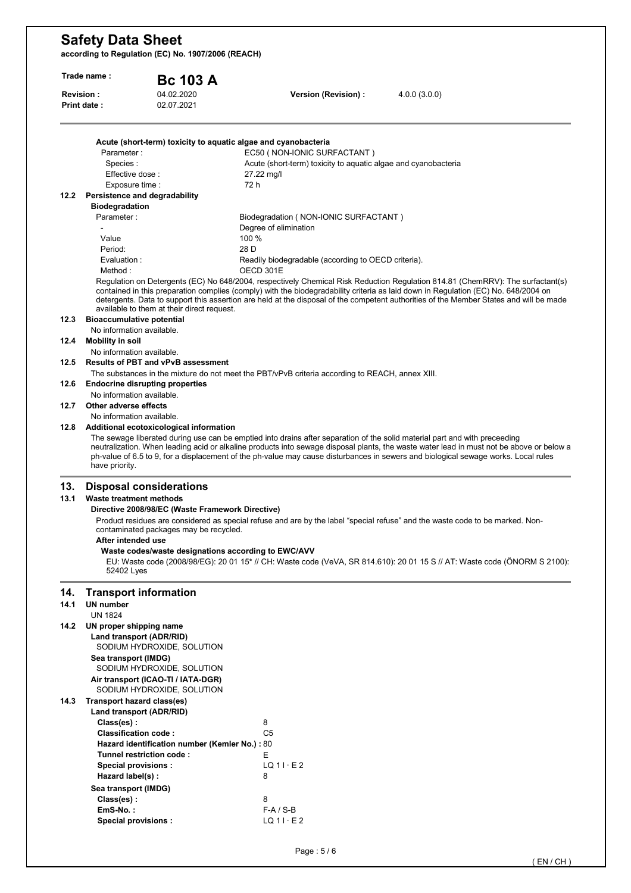**according to Regulation (EC) No. 1907/2006 (REACH)** 

|             | Trade name:                                                   | <b>Bc 103 A</b>                                                                            |                                                                                                                            |                                                                                                                                                                                                                                                                                                                                                                                                                |
|-------------|---------------------------------------------------------------|--------------------------------------------------------------------------------------------|----------------------------------------------------------------------------------------------------------------------------|----------------------------------------------------------------------------------------------------------------------------------------------------------------------------------------------------------------------------------------------------------------------------------------------------------------------------------------------------------------------------------------------------------------|
|             | Revision:<br>Print date:                                      | 04.02.2020<br>02.07.2021                                                                   | Version (Revision) :                                                                                                       | 4.0.0(3.0.0)                                                                                                                                                                                                                                                                                                                                                                                                   |
|             | Parameter:                                                    |                                                                                            | Acute (short-term) toxicity to aquatic algae and cyanobacteria<br>EC50 (NON-IONIC SURFACTANT)                              |                                                                                                                                                                                                                                                                                                                                                                                                                |
|             | Species:                                                      |                                                                                            | Acute (short-term) toxicity to aquatic algae and cyanobacteria                                                             |                                                                                                                                                                                                                                                                                                                                                                                                                |
|             | Effective dose:                                               |                                                                                            | 27.22 mg/l                                                                                                                 |                                                                                                                                                                                                                                                                                                                                                                                                                |
|             | Exposure time :                                               |                                                                                            | 72 h                                                                                                                       |                                                                                                                                                                                                                                                                                                                                                                                                                |
|             | 12.2 Persistence and degradability                            |                                                                                            |                                                                                                                            |                                                                                                                                                                                                                                                                                                                                                                                                                |
|             | <b>Biodegradation</b><br>Parameter:                           |                                                                                            | Biodegradation (NON-IONIC SURFACTANT)                                                                                      |                                                                                                                                                                                                                                                                                                                                                                                                                |
|             |                                                               |                                                                                            | Degree of elimination                                                                                                      |                                                                                                                                                                                                                                                                                                                                                                                                                |
|             | Value                                                         |                                                                                            | 100 %                                                                                                                      |                                                                                                                                                                                                                                                                                                                                                                                                                |
|             | Period:                                                       |                                                                                            | 28 D                                                                                                                       |                                                                                                                                                                                                                                                                                                                                                                                                                |
|             | Evaluation :                                                  |                                                                                            | Readily biodegradable (according to OECD criteria).                                                                        |                                                                                                                                                                                                                                                                                                                                                                                                                |
|             | Method:                                                       |                                                                                            | OECD 301E                                                                                                                  |                                                                                                                                                                                                                                                                                                                                                                                                                |
|             |                                                               | available to them at their direct request.                                                 |                                                                                                                            | Regulation on Detergents (EC) No 648/2004, respectively Chemical Risk Reduction Regulation 814.81 (ChemRRV): The surfactant(s)<br>contained in this preparation complies (comply) with the biodegradability criteria as laid down in Regulation (EC) No. 648/2004 on<br>detergents. Data to support this assertion are held at the disposal of the competent authorities of the Member States and will be made |
| 12.3        | <b>Bioaccumulative potential</b><br>No information available. |                                                                                            |                                                                                                                            |                                                                                                                                                                                                                                                                                                                                                                                                                |
| 12.4        | <b>Mobility in soil</b>                                       |                                                                                            |                                                                                                                            |                                                                                                                                                                                                                                                                                                                                                                                                                |
|             | No information available.                                     |                                                                                            |                                                                                                                            |                                                                                                                                                                                                                                                                                                                                                                                                                |
| 12.5        |                                                               | <b>Results of PBT and vPvB assessment</b>                                                  |                                                                                                                            |                                                                                                                                                                                                                                                                                                                                                                                                                |
|             |                                                               |                                                                                            | The substances in the mixture do not meet the PBT/vPvB criteria according to REACH, annex XIII.                            |                                                                                                                                                                                                                                                                                                                                                                                                                |
| 12.6        |                                                               | <b>Endocrine disrupting properties</b>                                                     |                                                                                                                            |                                                                                                                                                                                                                                                                                                                                                                                                                |
|             | No information available.                                     |                                                                                            |                                                                                                                            |                                                                                                                                                                                                                                                                                                                                                                                                                |
| 12.7        | Other adverse effects                                         |                                                                                            |                                                                                                                            |                                                                                                                                                                                                                                                                                                                                                                                                                |
| 12.8        | No information available.                                     |                                                                                            |                                                                                                                            |                                                                                                                                                                                                                                                                                                                                                                                                                |
|             | have priority.                                                | Additional ecotoxicological information                                                    | The sewage liberated during use can be emptied into drains after separation of the solid material part and with preceeding | neutralization. When leading acid or alkaline products into sewage disposal plants, the waste water lead in must not be above or below a<br>ph-value of 6.5 to 9, for a displacement of the ph-value may cause disturbances in sewers and biological sewage works. Local rules                                                                                                                                 |
| 13.<br>13.1 | <b>Waste treatment methods</b>                                | <b>Disposal considerations</b>                                                             |                                                                                                                            |                                                                                                                                                                                                                                                                                                                                                                                                                |
|             |                                                               | Directive 2008/98/EC (Waste Framework Directive)<br>contaminated packages may be recycled. |                                                                                                                            | Product residues are considered as special refuse and are by the label "special refuse" and the waste code to be marked. Non-                                                                                                                                                                                                                                                                                  |
|             | After intended use                                            |                                                                                            | Waste codes/waste designations according to EWC/AVV                                                                        |                                                                                                                                                                                                                                                                                                                                                                                                                |
|             | 52402 Lyes                                                    |                                                                                            |                                                                                                                            | EU: Waste code (2008/98/EG): 20 01 15* // CH: Waste code (VeVA, SR 814.610): 20 01 15 S // AT: Waste code (ÖNORM S 2100):                                                                                                                                                                                                                                                                                      |
| 14.         | <b>Transport information</b>                                  |                                                                                            |                                                                                                                            |                                                                                                                                                                                                                                                                                                                                                                                                                |
| 14.1        | <b>UN number</b>                                              |                                                                                            |                                                                                                                            |                                                                                                                                                                                                                                                                                                                                                                                                                |
|             | <b>UN 1824</b>                                                |                                                                                            |                                                                                                                            |                                                                                                                                                                                                                                                                                                                                                                                                                |
| 14.2        | UN proper shipping name                                       |                                                                                            |                                                                                                                            |                                                                                                                                                                                                                                                                                                                                                                                                                |
|             | Land transport (ADR/RID)                                      |                                                                                            |                                                                                                                            |                                                                                                                                                                                                                                                                                                                                                                                                                |
|             |                                                               | SODIUM HYDROXIDE, SOLUTION                                                                 |                                                                                                                            |                                                                                                                                                                                                                                                                                                                                                                                                                |
|             | Sea transport (IMDG)                                          | SODIUM HYDROXIDE, SOLUTION                                                                 |                                                                                                                            |                                                                                                                                                                                                                                                                                                                                                                                                                |
|             |                                                               | Air transport (ICAO-TI / IATA-DGR)                                                         |                                                                                                                            |                                                                                                                                                                                                                                                                                                                                                                                                                |
|             |                                                               | SODIUM HYDROXIDE, SOLUTION                                                                 |                                                                                                                            |                                                                                                                                                                                                                                                                                                                                                                                                                |
| 14.3        | Transport hazard class(es)                                    |                                                                                            |                                                                                                                            |                                                                                                                                                                                                                                                                                                                                                                                                                |
|             | Land transport (ADR/RID)                                      |                                                                                            |                                                                                                                            |                                                                                                                                                                                                                                                                                                                                                                                                                |
|             | Class(es):                                                    |                                                                                            | 8                                                                                                                          |                                                                                                                                                                                                                                                                                                                                                                                                                |
|             | Classification code:                                          |                                                                                            | C <sub>5</sub>                                                                                                             |                                                                                                                                                                                                                                                                                                                                                                                                                |
|             |                                                               | Hazard identification number (Kemler No.): 80                                              |                                                                                                                            |                                                                                                                                                                                                                                                                                                                                                                                                                |
|             |                                                               | Tunnel restriction code:                                                                   | E                                                                                                                          |                                                                                                                                                                                                                                                                                                                                                                                                                |
|             | Special provisions:                                           |                                                                                            | $LQ$ 1 $\cdot$ E 2<br>8                                                                                                    |                                                                                                                                                                                                                                                                                                                                                                                                                |
|             | Hazard label(s):                                              |                                                                                            |                                                                                                                            |                                                                                                                                                                                                                                                                                                                                                                                                                |
|             | Sea transport (IMDG)<br>Class(es):                            |                                                                                            | 8                                                                                                                          |                                                                                                                                                                                                                                                                                                                                                                                                                |
|             | EmS-No.:                                                      |                                                                                            | $F-A / S-B$                                                                                                                |                                                                                                                                                                                                                                                                                                                                                                                                                |
|             |                                                               |                                                                                            |                                                                                                                            |                                                                                                                                                                                                                                                                                                                                                                                                                |

Special provisions : **LQ 11 · E 2**